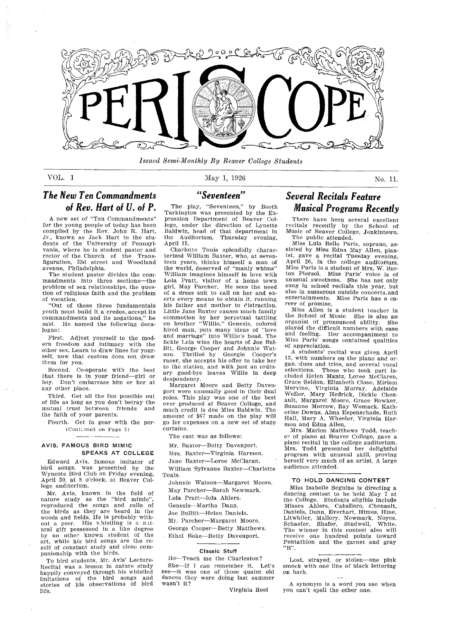

Issued Semi-Monthly By Beaver College Students

# VOL. 1 May 1, 1926  $\text{May } 1, 1926$  No. 11

# The New Ten Commandments of Rev. Hart of U. of P.

A new set of "Ten Commandments" for the young people of today has been compiled by the Rev. John R. Hart, Jr., known as Jack Hart to the students of the University of Pennsyl vania, where he is student pastor and rector of the Church of the Trans figuration, 33d street and Woodland avenue, Philadelphia.

The student pastor divides the com mandments into three sections-the problem of sex relationships, the question of religious faith and the problem of vocation

Out of these three fundamentals youth must build it a credos, accept its commandments and its negations," he said. He named the following decalogue:

First. Adjust yourself to the modem freedom and intimacy with the other sex. Learn to draw lines for yourself, now that custom does not draw them for you

Second. Co-operate with the best that there is in your friend-girl or boy. Don't embarrass him or her at any other place

Third. Get all the fun possible out of life as long as you don't betray the mutual trust between friends and the faith of your parents

Fourth. Get in gear with the per-(Continued on Page 5)

### AVIS, FAMOUS BIRD MIMIC SPEAKS AT COLLEGE

Edward Avis, famous imitator of bird songs, was presented by the Wyncote Bird Club on Friday evening April 30, at 8 o'clock, at Beaver College auditorium

Mr. Avis, known in the field of<br>nature study as the "bird mimic"<br>reproduced the songs and calls of the birds as they are heard in the woods and fields. He is probably with<br>out a peer. His whistling is a nat ural gift possessed in a like degree by no other known student of the art, while his bird songs are the result of constant study and close companionship with the birds

To bird students, Mr. Avis' Lecture-Recital was a lesson in nature study happily conveyed through his whistled imitations of the bird songs and stories of his observations of bird life

Seventeen

The play, "Seventeen," by Booth Tarkington was presented by the Ex pression Department of Beaver Col lege, under the direction of Lynette Baldwin, head of that department in the Auditorium, Thursday evening, April <sup>15</sup>

Charlotte Tonis splendidly characterized William Baxter, who, at seventeen years, thinks himself a man of the world, deserved of "manly whims" William imagines himself in love with Lola Pratt, visitor of a home town girl, May Parcher. He sees the need of a dress suit to call on her and exerts every means to obtain it, running his father and mother to distraction Little Jane Baxter causes much family eommotion by her perpetual tattling<br>on brother "Willie." Genesis, colored hired man, puts many ideas of "love and marriage" into Willie's head. The fickle Lola wins the hearts of Joe Bul litt, George Cooper and Johnnie Watson. Thrilled by Georgie Cooper's racer, she accepts his offer to take her to the station, and with just an ordinary good-bye leaves Willie in deep despondency

Margaret Moore and Betty Daven port were unusually good in their dual roles. This play was one of the best ever produced at Beaver College, and much credit is due Miss Baldwin. The amount of \$67 made on the play will go for expenses on a new set of stage curtains

The cast was as follows

Mr. Baxter-Betty Davenport.

Mrs. Baxter-Virginia Harmon.

Jane Baxter-Loree McClaran.

William Sylvanus Baxter-Charlotte Tonis

Johnnie Watson\_Margaret Moore

May Parcher-Sarah Newmark.

Lola Pratt-Iola Ahlers.

Genesis-Martha Dann.

Joe Bullitt-Helen Daniels.

Mr. Parcher-Margaret Moore.

George Cooper-Betty Matthews. Ethel Boke-Betty Davenport.

### Classic Stuff

He-Teach me the Charleston? She-If I can remember it. Let's see-it was one of those quaint old dances they were doing last summer

# Several Recitals Feature Musical Programs Recently

There have been several excellen recitals recently by the School of Music of Beaver College, Jenkintow The public attended.

Miss Lula Belle Paris, soprano, assisted by Miss Edna May Allen, piar<br>ist, gave a recital Tuesday evening April 20, in the college auditorium. Miss Paris is a student of Mrs. W. Burton Piersol. Miss Paris' voice is of unusual sweetness. She has not only sung in school recitals this year, but also in numerous outside concerts and entertainments. Miss Paris has a career of promise

Miss Allen is student teacher in the School of Music. She is also an organist of pronounced ability. She organist of pronounced ability. played the difficult numbers with ease and feeling. Her accompaniment to Miss Paris' songs contained qualities of appreciation

A students' recital was given April<br>13, with numbers on the piano and organ, duos and trios, and several vocal selections. Those who took part included Helen Mantz, Loree McClaren. Grace Seldon, Elizabeth Close, Miriam Mervine, Virginia Murray, Adelaid Weller, Mary Hedrick, Dickie Chen ault, Margaret Moore, Grace Bowke Suzanne Morrow, Ray Womack, Katherine Downs, Alma Espenschade, Ruth Hall, Mary A. Wheeler, Virginia Harmon and Edna Allen

on and Hand Invent.<br>Mrs. Marion Matthews Todd, teach er of piano at Beaver College, gav piano recital in the college auditorium Mrs. Todd presented her delightful program with unusual skill, proving herself very much of an artist. A large audience attended

### TO HOLD DANCING CONTEST

Miss Isabelle Seguine is directing dancing contest to be held May  $7$  at the College. Students eligible include Misses Ahlers, Caballero, Chenault, Daniels, Dunn, Everhart, Himes, Hine, Litwhiler, Mallory, Newmark, Noyes<br>Schaefer, Shafer, Studwell, White<br>The winner in this contest also wil receive one hundred points towar Pentathlon and the garnet and gray

Lost, strayed, or stolen-one pink smock with one line of black lettering on back

A synonym is a word you use when you can't spell the other one.

Virginia Heel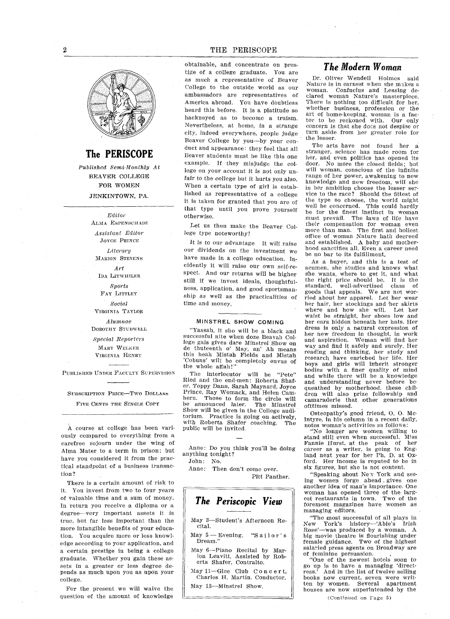

The PERISCOPE

Published Semi-Monthly At BEAVER COLLEGE FOR WOMEN JENKINTOWN, PA.

> Editor ALMA ESPENSCHADE Assistant Editor JOYCE PRINCE Literary MARION STEVENS Art IDA LITWHILER Sports FAY LITTLEY Social VIRGINIA TAYLOR Alumnae DOROTHY STUDWELL Special Reporters MARY WELKER

VIRGINIA HENRY

PUBLISHED UNDER FAcULTY SUPERVISION

SUBSCRIPTION PRICE-Two DOLLARS

FIVE CENTS THE SINGLE COPY

A course at college has been variously compared to everything from carefree sojourn under the wing of Alma Mater to a term in prison; but have you considered it from the practical standpoint of a business transaction

There is a certain amount of risk to it You invest from two to tour years of valuable time and a sum of money. In return you receive a diploma or a degree-very important assets it is true, but far less important than the more intangible benefits of your education. You acquire more or less knowledge according to your application, and a certain prestige in being a college graduate. Whether you gain these assets in a greater or less degree depends as much upon you as upon your college

For the present we will waive the question of the amount of knowledge

obtainable, and concentrate on prestige of a college graduate. You are as much a representative of Beaver College to the outside world as our ambassadors are representatives of America abroad. You have doubtless heard this before. It is a platitude so hackneyed as to become a truism. Nevertheless, at home, in a strange city, indeed everywhere, people judge Beaver College by you-by your conduct and appearance: they feel that all Leaver students must be like this one example. If they misjudge the college on your account it is not only un fair to the college but it hurts you also When a certain type of girl is established as representative of a college it is taken for granted that you are of that type until you prove yourself otherwise

Let us then make the Beaver Col lege type noteworthy

It is to our advantage. It will raise our dividends on the investment we have made in a college education. Incidently it will raise our own self-re spect. And our returns will be higher still if we invest ideals, thoughtfulness, application, and good sportsmanship as well as the practicalities of time and money

### MINSTREL SHOW COMING

"Yassah, it sho will be a black and successful nite when doze Beavah Col lege gals gives dare Minstrel Show on de thuteenth o' May, an' Ah means this heah Mistah Fields and Mistah "Cobuns" will be completely envus of<br>the whole affah!"

The interlocutor will be "Pete"<br>Ried and the end-men: Roberta Shafer, Toppy Dann, Sarah Maynard, Joyce Prince, Ray Womack, and Helen Cambern. Those to form the circle will be announced later. The Minstrel Show will be given in the College audi torium. Practice is going on actively, with Roberta Shafer coaching. The public will be invited

Anne: Do you think you'll be doing anything tonight

John: No.

Anne: Then don't come over. Pitt Panther

The Periscopie View May 3-Student's Afternoon Recital. May  $5$  - Evening, "Sailor's Dream May 6-Piano Recital by Marion Leavitt, Assisted by Rob<br>erta Shafer, Contralto. May  $11$ -Glee Club Concert, Charles H. Martin, Conductor. May 13-Minstrel Show.

### The Modern Woman

Dr. Oliver Wendell Holmes said Nature is in earnest when she makes a woman. Confucius and Lessing declared woman Nature's masterpiece. There is nothing too difficult for her, whether business, profession or the art of home-keeping, woman is a factor to be reckoned with. Our only concern is that she does not despise or turn aside from her greater role for the lesser

The arts have not found her stranger, science has made room for her, and even politics has opened its door. No more the closed fields; but will woman, conscious of the infinite range of her power, awakening to new knowledge and new freedom, will she in her ambition choose the lesser ser vice to the race? Should the fittest of the type so choose, the world might well be concerned. This could hardly be for the finest instinct in woman must prevail. The laws of life have their compensation for woman eve<br>more than man. The first and holies office of woman Nature hath decreed and established. A baby and motherhood sanctifies all. Even a career need be no bar to its fulfillment

As a buyer, and this is a test of acumen, she studies and knows what she wants, where to get it, and what<br>the right price should be. It is the the right price should be. standard, well-advertised class of goods that appeals. We are not wor ried about her apparel. Let her wear her hair, her stockings and her skirts where and how she will. Let her waist be straight, her shoes low and her ears hidden beneath her hats. Her dress is only a natural expression of her new freedom in thought, in work and aspiration. Woman will find her way and find it safely and surely Her reading and thinking, her study and researck have enriched her life Her boys and girls will inherit stronger bodies with a finer quality of mind and while there will be a knowledge and understanding never before be queathed by motherhood, these children will also prize fellowship and camaraderie that other generations ofttimes missed

Osteopathy's good friend, O. O. Mc-Intyre, in his column in a recent daily, notes woman's activities as follows:

"No longer are women willing to stand still even when successful. Miss Fannie Hurst, at the peak of her career as a writer, is going to England next year for her Ph. D. at Oxford. Her income is reputed to be in six figures, but she is not content.

Speaking about Nev York and see ing women forge ahead gives one another idea of man's importance. One woman has opened three of the larg est restaurants in town Two of the foremost magazines have women as managing editors

The most successful of all plays in New York's history—'Abie's Irish<br>Rose'—was produced by a woman. big movie theatre is flourishing under female guidance. Two of the highes salaried press agents on Broadway are of feminine persuasion

"One of the newest hotels soon to go up is to have managing direct ress.' And in the list of twelve selling books now current, seven were writ-<br>ten by women. Several apartment ten by women. Several houses are now superintended by the

(Continued on Fage 5)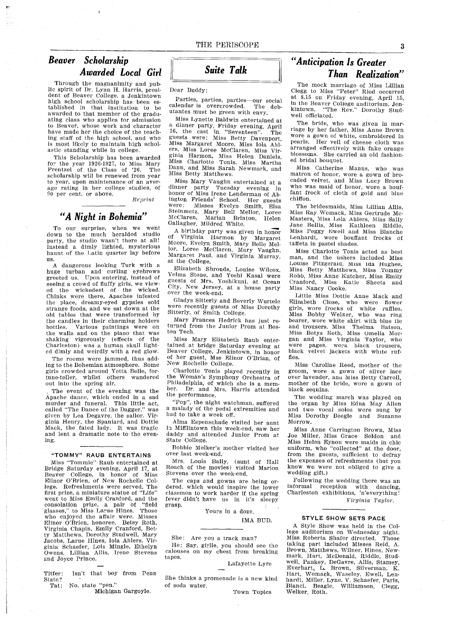# Beaver Scholarship Awarded Local Girl

Through the magnanimity and public spirit of Dr. Lynn H. Harris, president of Beaver College, a Jenkinto high school scholarship has been es tablished in that institution to be awarded to that member of the graduating class who applies for admission to Beaver, whose work and character have made her the choice of the teach ing staff of the high school, and who is most likely to maintain high schol astic standing while in college

This Scholarship has been awarded for the year 1926-1927, to Miss Mary Prentzel of the Class of '26. The scholarship will be renewed from year to year, upon maintenance of an average rating in her college studies, of 90 per cent. or above.

Reprint

# "A Night in Bohemia"

To our surprise, when we went down to the much heralded studio party the studio wasnt there at all Instead a dimly lighted, mysteriou haunt of the Latin quarter lay before us

A dangerous looking Turk with a huge turban and curling eyebrows greeted us. Upon entering, instead of seeing a crowd of fluffy girls, we viewed the wickedest of the wicked Chinks were there, Apaches infested the place, dreamy-eyed gypsies sold strange foods, and we sat down at the old tables that were transformed by the candles in their charming holders bottles. Various paintings were on the walls and on the piano that was shaking vigorously (effects of the<br>Charleston) was a human skull lighted dimly and weirdly with a red glow.

The rooms were jammed, thus adding to the Bohemian atmosphere. Some girls crowded around Yetta Belle, fortune-teller, whilst others wandered out into the spring air

The event of the evening was the Apache dance, which ended in a sad murder and funeral. This little act called "The Dance of the Dagger," was given by Lea Degavre, the sailor. Virginia Henry, the Spaniard, and Dottie Mack, the fated lady. It was tragic and lent a dramatic note to the evening

### "TOMMY" RAUB ENTERTAINS

Miss "Tommie" Raub entertained at Bridge Saturday evening, April 17, at<br>Beaver College, in honor of Miss College, in honor Elinor O'Brien, of New Rochelle College. Refreshments were served. The first prize, a miniature statue of "Life" went to Miss Emily Cranford, and the  $\frac{1}{2}$  consolation prize, a pair of "field" glasses," to Miss Larue Hines. Thos who enjoyed the affair were. Misses Elinor O'Brien, honoree, Betsy Roth, Virginia Chapin, Emily Cranford, Betty Matthews, Dorothy Studwell, Mary ty mattnews, Dorothy Studwen, mary<br>Jacobs, Larue Hines, Iola Ahlers, Virginia Schaefer, Lois Mingle, Ethely Owens, Lillian Allis, Irene Stevens and Joyce Prince

Titfer: Isn't that boy from Penn State Tat: No, state "pen."

Michigan Gargoyle

# Suite Talk

Dear Buddy

Parties, parties, parties-our social calendar is overcrowded. The debutantes must be green with envy.

Miss Lynette Baldwin entertained at a dinner party, Friday evening, April 16, the cast in "Seventeen". The guests were: Miss Betty Davenport,<br>Miss Margaret Moore, Miss Iola Ahl-<br>ers, Miss Loree McClaren, Miss Virers, Miss Loree McClaren, Miss Virginia Harmon, Miss Helen Daniels. Miss Charlotte Tonis Miss Martha Dann, and Miss Sarah Newmark, and Miss Betty Matthews

Miss Mary Vaughn entertained at dinner party Tuesday evening in honor of Miss Irene Lenderman of Ab ington Friends' School. Her guests<br>were: Misses Evelyn Smith, Elsa Steinmetz, Mary Bell Mellor, Loree<br>McClaren, Marian Brinton, Helen Marian Brinton, Helen Gallagher, Mildred White.

birthday party was given in honor of Virginia Harmon by Margaret Moore, Evelyn Smith, Mary Belle Mellor, Loree McClaren, Mary Vaughn, Margaret Paul, and Virginia Murray, at the College.

Elizabeth Shrouds, Louise Wilcox<br>Velma Stone, and Yoshi Kasai were guests of Mrs. Yoshikuni, at Ocean City, New Jersey, at a house party over the week-end

Gladys Sitterly and Beverly Wurtele were recently guests of Miss Dorothy Sitterly, of Smith College.

Mary Frances Hedrick has just returned from the Junior Prom at Boston Tech.

Miss Mary Elizabeth Raub enter tained at bridge Saturday evening at Beaver College, Jenkintown, in honor of her guest, Mss Elinor O'Brian, of New Rocbelle College

Charlotte Tonis played recently in the Woman's Symphony Orchestra of Philadelphia, of which she is a member. Dr. and Mrs. Harris attended the performance

"Pop", the night watchman, suffered malady of the pedal extremities and had to take a week off.

Alma Espenschade visited her aunt in Mifflintown this week-end, saw her daddy and attended Junior Prom at<br>State College.

Bobbie Melker's mother visited her over last week-end

Mrs. Louis Bally, (aunt of Hall Roach of the movies) visited Marion Stevens over the week-end

The caps and gowns are being or dered, which would inspire the lower classmen to work harder if the spring fever didn't have us in it's sleepy grasp

Yours in a doze,

IMA BUD

### She: Are you a track man?

He: Say, girlie, you should see the calouses on my chest from breaking tapes

Lafayette Lyre

She thinks a promenade is a new kind of soda water

# Anticipation Is Greater Than Realization

The mock marriage of Miss Lillian Clegg to Miss "Peter" Ried occurred at 8.15 on Friday evening, April 15, in the Beaver College auditorium, Jenkintown. "The Rev." Dorothy Studwell officiated

The bride, who was given in marriage by her father, Miss Anne Brown wore a gown of white, embroidered in pearls. Her veil of cheese cloth was arranged effectively with fake orange blossoms. She carried an old fashioned bridal bouquet

Miss Catherine Manns, who was matron of honor, wore a gown of brocaded velvet, and Miss Lucy Brown who was maid of honor, wore a bouffant frock of cloth of gold and blue chiffon

The bridesmaids, Miss Lillian Allis, Miss Ray Womack, Miss Gertrude Mc-Masters, Miss Lola Ahlers, Miss Sally Jane Bellis, Miss Kathleen Riddle, Miss Peggy Ewell and Miss Blanche Lenhardt, wore bouffant frocks of taffeta in pastel shades

Miss Charlotte Tonis acted as best man, and the ushers included Miss Louise Fitzgeraid, Miss ida Hughes, Miss Betty Matthews, Miss Tommy Robb, Miss Anne Kutcher, Miss Emily Cranford, Miss Katie Sheets and Miss Nancy Cooke

Little Miss Dottie Anne Mack and Elizabeth Close, who were flower girls, wore frocks of white ruffles Miss Bobby Welker, who was ring<br>bearer, wore white shirt with blue tie and trousers Miss Thelma Batson Miss Betys Roth, Miss Omelia Mor gan and Miss Virginia Taylor, who were pages, work black trousers,<br>black velvet jackets with white ruffles.

Miss Caroline Reed, mother of the groom, wore a gown of silver lace over lavender, ann Miss Betty Carroll, mother of the bride, wore a gown of black sequins

The wedding march was played on the organ by Miss Edna May Allen and two vocal solos were sung by Miss Dorothy Beegle and Suzanne Morrow

Miss Anne Carrington Brown, Miss Joe Miller, Miss Grace Seldon and Miss Helen Eynon were maids in chic uniform, who "collected" at the door, from the guests, sufficient to defray the expenses of refreshments (but you know we were not obliged to give wedding gift

Following the wedding there was an informal reception with dancing Charleston exhibitions, 'n'everything! Virginia Taylor

### STYLE SHOW SETS PACE

A Style Show was held in the College auditorium on Wednesday night Miss Roberta Shafer directed. Those taking part included Misses Reid Brown, Matthews, Wilner, Hines, New mark, Hart, McDonald, Riddle, Stud main, francy menomial, francy, Stat  $\text{Event}_x$  L. Brown, Silverman Hart, Womack, Waseley, Ewell, Lenhardt, Miller, Lyne, V. Schaefer, Paris Bianci, Beagle, Williamson, Clegg Town Topics Welker, Roth.

3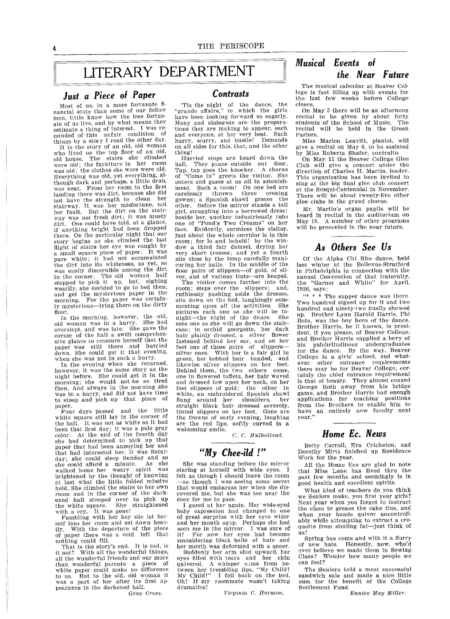# LITERARY DEPARTMENT

# Just a Piece of Paper The Contrasts

Most of us, in a more fortunate fi nancial state than some of our fellow men, little know how the less fortun<br>ate of us live, and by what means they ate of us live, and by what means they<br>estimate a thing of interest. I was reminded of this unfair condition of things by a story  $I$  read the other day.

It is the story of an old, old woman who lived on the top floor of an old  $odd$  house. The stairs she climbed were old; the furniture in her room was old; the clothes she wore were old. Everything was old, yet everything, although dark and perhaps, a little drab, was neat. From her room to the first landing there was dirt, because she did not have the strength to clean her stairway. It was her misfortune, not her fault. But the dirt on the stairway was not fresh dirt; it was musty dirt. One could have told, at a glance, if anything bright had been dropped there. On the particular night that our story begins as she climbed the last flight of stairs her eye was caught by<br>a small square piece of paper. It was a small square piece of paper. pure white; it had not accumulated the dirt into its whiteness, as yet, so was easily discernible among the dirt in the corner. The old woman half stopped to pick it up, but, sighing<br>wearily, she decided to go to bed then and get the mysterious paper in the morning. For the paper was certainly mysterious-lying there on the dirty floor.

In the morning, however, the old,  $d$  woman was in a hurry. She had old woman was in a hurry. overslept, and was late. She gave the corner of the hall a swift comprehen sive glance to reassure herself that the paper was still there and hurrie<br>down She could get it that evening when she was not in such a hurry.

In the evening when she returned however, it was the same story as the night before She could get it in the morning; she would not be so tired then And always in the morning she was in a hurry, and did not have time to stoop and pick up that piece of paper

Four days passed and the little white square still lay in the corner of the hall. It was not as white as it had been that first day it was pale gray color At the end of the fourth day she had determined to pick up that paper that had been annoying her and that had interested her It was Satur day; she could sleep Sunday and so she could afford a minute. As she walked home her weary spirit was brightened by the thought of knowing at last what the little folded missive held. She climbed the stairs to her own foom and in the corner of the darkened hail stooped over to pick up the white square. She straightened with a cry. It was gone!

Fumbling with her key she let herself into her room and sat down heavily. With the departure of the piece<br>of paper there was a void left that nothing could fill

That is the story's end. It is sad, is<br>it not? With all the wonderful things all the wonderful friends and our more than wonderful parents a piece of white paper could make no difference to us. But to the old, old woman it was a part of her after its first appearance in the darkened hall.

Gene Cross

Tis the night of the dance, the "grande affaire," to which the girls have been looking forward so eagerly. Many and elaborate are the preparations they are making to appear, each and everyone, at her very best. Such hurry, scurry, and bustle! Demands on all sides for this, that, and the other thing

Hurried steps are heard down the hall. They pause outside our door. Tap, tap goes the knocker. A chorus<br>of "Come in" greets the visitor. She enters and gazes at us all in astonishment. Such a room! On one bed are carelessly thrown three evening gowns; a Spanish shawl graces the<br>other. Before the mirror stands a tall girl, struggling into a borrowed dress; beside her, another industriously rubs one of "Pond's Two Creams" on her face. Evidently, surmizes the visitor, just about the whole corridor is in this room; for lo and behold! by the window a third fair damsel, drying her very short tresses; and yet a fourth sits close by the lamp carefully manicuring her nails. In the middle of the floor pairs of slippers-of gold, of silver, and of various tints-are heaped.

The visitor comes further into the room; steps over the slippers; and, ruthlessly pushing aside the dresses<br>sits down on the bed, laughingly commenting upon all the activities. She pictures each one as she will be to-<br>night-the night of the dance. She night-the night of the dance. sees one as she will go down the staircase; in orchid georgette, her dark hair plainly dressed, a silver flower fastened behind her ear, and on her<br>feet one of those pairs of slippers feet one of those pairs of silver ones. With her is a fair girl in green, her bobbed hair banded, and likewise silver slippers on her feet Behind them, the two others come one in flowered taffeta, her hair waved and dressed low upon her neck on her feet slippers of gold; the other in white, an embroidered Spanish shaw flung around her shoulders, her<br>straight black hair dressed severely tinted slippers on her feet. Gone are the frowns of early evening, laughing are the red lips, softly curved in a welcoming smile.

 $C. C.$  Mulholland.

# "My Chee-ild !"

She was standing before the mirror staring at herself with wide eyes. I felt as though I should leave the room<br>—as though I was seeing some secre that would embarass her when she discovered me, but she was too near the door for me to pass

gazed at her again Her wide-eyed baby expression had changed to one of great surprise with her eyes wider and her mouth agap. Perhaps she had seen me in the mirror. I was sure of seen me in the mirror. I was sure o<br>it! For now her eyes had becom<br>smouldering black balls of hate and her mouth was deformed with a sneer.

Suddenly her arm shot upward, her eyes filled with tears and her chin quivered. A whisper came from bequivered. A whisper calle from Section to the trembling lips, "My Child!<br>My Child!" I fell back on the bed Oh If my roommate wasnt taking dramatics!

Virginia C. Harmon.

# Musical Events of the Near Future

The musical calendar at Beaver College is fast filling up with events for the last few weeks before College closes

On May there will be an afternoon recital to be given by about fort students of the School of Music The recital will be held in the Green Parlors

Miss Marion Leavitt, pianist, will give a recital on May 6, to be assisted by Miss Roberta Shafer, contralto.

On May <sup>11</sup> the Beaver College Glee Club will give a concert under the direction of Charles H. Martin, leader. This organization has been invited to sing at the big final glee club concert at the Sesqui-Centennial in November There will be about twenty-five other glee clubs in the grand chorus

Mr. Martin's organ pupils will be heard in recital in the auditorium on May 18. A number of other programs will be presented in the near future.

## As Others See Us

Of the Alpha Chi Rho dance, held last winter at the Bellevue-Stratford in Philadelphia in connection with the annual Convention of that fraternity the "Garnet and White" for April, 1926, says:

 $4$  \* \* The supper dance was there. Two hundred signed up for it and two hundred and ninety-two finally showed up. Brother Lynn Harold Harris, Phi Beta, was the boy hero of the dance. Brother Harris, be it known, is president, if you please, of Beaver College. and Brother Harris supplied a bevy of his pulchritudinous undergraduates for the dance. By the way, Beave College is a girls' school, and wha ever other entrance requirements there may be for Beaver College cer tainly the chief entrance requirement is that of beauty They almost coaxed George Roth away from his bridge game, and Brother Harris had enough applications for teaching positions from the Brothers to enable him to have an entirely new faculty next year

Betty Carroll, Eva Cricheton, and Dorothy Mirtz finished up Residence Work for the year

Home Ec. News

All the Home Ecs are glad to note that Miss Lane has lived thru the past few months and seemingly is in good health and excellent spirits

What kind of teachers do you think we Seniors make, you first year girls? Next year when you forget to instruct the class to grease the cake tins, and when your hands quiver uncontroll ably while attempting to extract a croquette from sizzling fat-just think of us

Spring has come and with it a flurry of new hats. Honestly, now, who'd ever believe we made them in Sewing Class? Wonder how many people we can fool

The Seniors held a most successful sandwich sale and made a nice littl sum for the benefit of the College Settlement Fund

Eunice May Miller.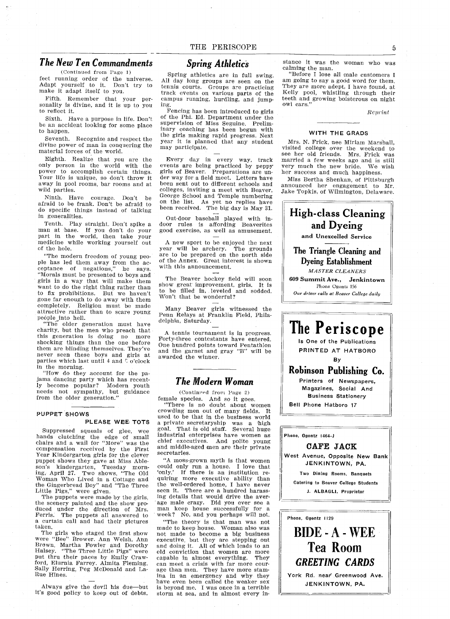### The New Ten Commandments

 $(Continued from Page 1)$ 

feet running order of the universe Adapt yourself to it. Don't try to make it adapt itself to you

Fifth. Remember that your personality is divine, and it is up to you to reflect it

Sixth. Have a purpose in life. Don't be an accident looking for some place to happen

Seventh. Recognize and respect the divine power of man in conquering the material forces of the world

Eighth. Realize that you are the only person in the world with the power to accomplish certain things Your life is unique, so don't throw it away in pool rooms bar rooms and at wild parties

Ninth. Have courage. Don't afraid to be frank. Don't be afraid to do specific things instead of talking in generalities

Tenth. Play straight, Don't spike man at base. If you don't do your part in the world, then take your medicine while working yourself out of the hole

The modern freedom of young peo ple has led them away from the ac ceptance of negations," he says. Morals must be presented to boys and girls in a way that will make them want to do the right thing rather than to fix prohibitions. But we haven't gone far enough to do away with them completely. Religion must be made attractive rather than to scare young people into hell

"The older generation must have charity, but the men who preach that this generation is doing no more shocking things than the one before them are blinding themselves. They've never seen these boys and girls at parties which last until 4 and  $\bar{\mathbb{C}}$  o'clock in the morning

"How do they account for the pajama dancing party which has recent ly become popular? Modern yout needs not sympathy, but guidano from the older generation.'

### PUPPET SHOWS

### PLEASE WEE TOTS

Suppressed squeals of glee, wee hands clutching the edge of small<br>chairs and a wail for "More" was the compensation received by the Firs Year Kindergarten girls for the cleve puppet shows they gave at Miss Ableson's kindergarten, Tuesday morn ing, April 27. Two shows, "The Old Woman Who Lived in a Cottage and<br>the Gingerbread Boy" and "The Three

Little Pigs," were given.<br>The puppets were made by the girls the scenery painted and the show pro duced under the direction of Mrs. Ferris. The puppets all answered to curtain call and had their pictures taken

The girls who staged the first show<br>were "Bee" Brower. Ann Welsh, Ann Brown, Martha Fowler and Dorothy Halsey. "The Three Little Pigs" were put thru their paces by Emily Craw ford, Elurnia Farrey. Almita Fleming, Sally Herring, Peg McDonald and La-Rue Hines.

Always give the devil his due-but<br>it's good policy to keep out of debts.

### Spring Athletics

Spring athletics are in full swing All day long groups are seen on the tennis courts. Groups are practicing track events on various parts of the campus running, hurdling, and jumping

Fencing has been introduced to girls of the Phi. Ed. Department under the supervision of Miss Seguine. Preliminary coaching has been begun with the girls making rapid progress Next year it is planned that any student may participate

Every day in every way, track events are being practiced by peppy girls of Beaver. Preparations are un der way for a field meet. Letters have been sent out to different schools and colleges, inviting a meet with Beaver, George School and Temple numbering on the list. As yet no replies have been received. The big day is May 31.

Out-door baseball played with in door rules is affording Beaverites good exercise, as well as amusement.

new sport to be enjoyed the next year will be archery. The ground are to be prepared on the north sid of the Annex. Great interest is shown with this announcement.

The Beaver hockey field will soon show great improvement, girls. It is to be filled in, leveled and sodded. Won't that be wonderful?

Many Beaver girls witnessed the Penn Relays at Franklin Field, Phila delphia, Saturday.

A tennis tournament is in progress. Forty-three contestants have entered. One hundred points toward Pentathion and the garnet and gray "B" will be awarded the winner

### The Modern Woman

(Continued from Page 2) female species. And so it goes.

There is no doubt about women crowding men out of many fields. It used to be that in the business world private secretaryship was a high goal. That is old stuff. Several hug industrial enterprises have women as chief executives. And polite young and middle-aged men are their private secretaries

"A moss-grown myth is that women could only run a house. I love that<br>'only.' If there is an institution requiring more executive ability than the well-ordered home, I have never<br>seen it. There are a hundred harass ing details that would drive the aver age male crazy. Did you ever see a man keep house successfully for a week? No, and you perhaps will not.

The theory is that man was not made to keep house. Woman also was not made to become a big business executive, but they are stepping out<br>and doing it. All of which leads to an old conviction that women are more capable in almost everything. They can meet a crisis with far more courage than men. They have more stamina in an emergency and why they have even been called the weaker sex is beyond me. I was once in a terrible storm at sea, and in almost every in-

stance it was the woman who was calming the man

"Before I lose all male customers I am going to say a good word for them. They are more adept, I have found, at Kelly pool, whistling through their teeth and growing boisterous on night owl cars

### Reprint

### WITH THE GRADS

Mrs. N. Frick, nee Miriam Marshall, visited college over the weekend to see her old friends. Mrs. Frick was married a few weeks ago and is still very much the new bride. We wish her success and much happiness

Miss Bertha Shenkan, of Pittsburgh announced her engagement to Mr.<br>Jake Topkis, of Wilmington, Delaware.



BIDE-A-WEE Tea Room GREETING CARDS

York Rd. near Greenwood Ave. JENKINTOWN, PA.